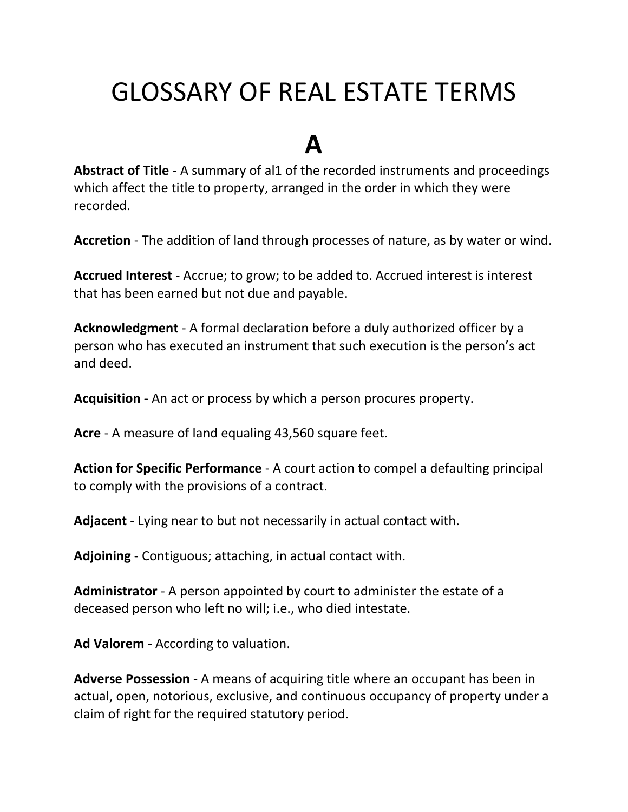# GLOSSARY OF REAL ESTATE TERMS

# **A**

**Abstract of Title** - A summary of al1 of the recorded instruments and proceedings which affect the title to property, arranged in the order in which they were recorded.

**Accretion** - The addition of land through processes of nature, as by water or wind.

**Accrued Interest** - Accrue; to grow; to be added to. Accrued interest is interest that has been earned but not due and payable.

**Acknowledgment** - A formal declaration before a duly authorized officer by a person who has executed an instrument that such execution is the person's act and deed.

**Acquisition** - An act or process by which a person procures property.

**Acre** - A measure of land equaling 43,560 square feet.

**Action for Specific Performance** - A court action to compel a defaulting principal to comply with the provisions of a contract.

**Adjacent** - Lying near to but not necessarily in actual contact with.

**Adjoining** - Contiguous; attaching, in actual contact with.

**Administrator** - A person appointed by court to administer the estate of a deceased person who left no will; i.e., who died intestate.

**Ad Valorem** - According to valuation.

**Adverse Possession** - A means of acquiring title where an occupant has been in actual, open, notorious, exclusive, and continuous occupancy of property under a claim of right for the required statutory period.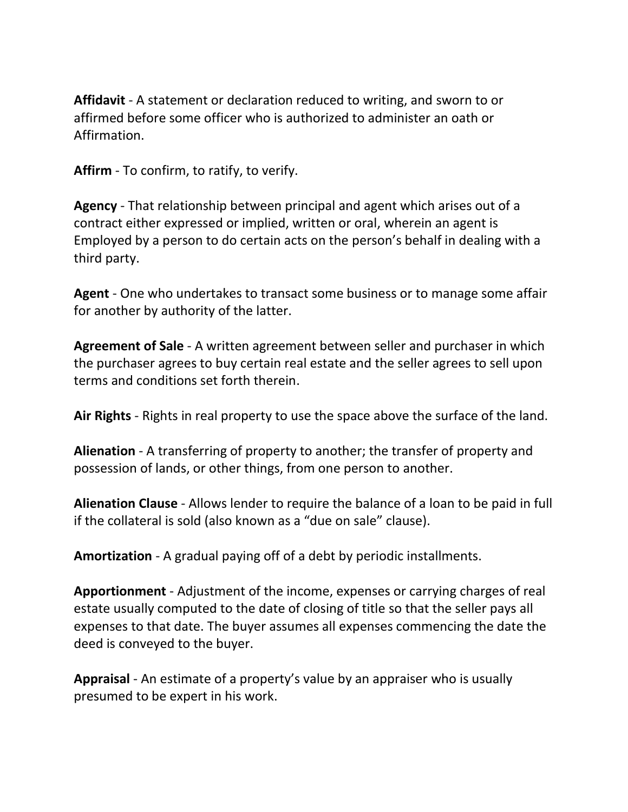**Affidavit** - A statement or declaration reduced to writing, and sworn to or affirmed before some officer who is authorized to administer an oath or Affirmation.

**Affirm** - To confirm, to ratify, to verify.

**Agency** - That relationship between principal and agent which arises out of a contract either expressed or implied, written or oral, wherein an agent is Employed by a person to do certain acts on the person's behalf in dealing with a third party.

**Agent** - One who undertakes to transact some business or to manage some affair for another by authority of the latter.

**Agreement of Sale** - A written agreement between seller and purchaser in which the purchaser agrees to buy certain real estate and the seller agrees to sell upon terms and conditions set forth therein.

**Air Rights** - Rights in real property to use the space above the surface of the land.

**Alienation** - A transferring of property to another; the transfer of property and possession of lands, or other things, from one person to another.

**Alienation Clause** - Allows lender to require the balance of a loan to be paid in full if the collateral is sold (also known as a "due on sale" clause).

**Amortization** - A gradual paying off of a debt by periodic installments.

**Apportionment** - Adjustment of the income, expenses or carrying charges of real estate usually computed to the date of closing of title so that the seller pays all expenses to that date. The buyer assumes all expenses commencing the date the deed is conveyed to the buyer.

**Appraisal** - An estimate of a property's value by an appraiser who is usually presumed to be expert in his work.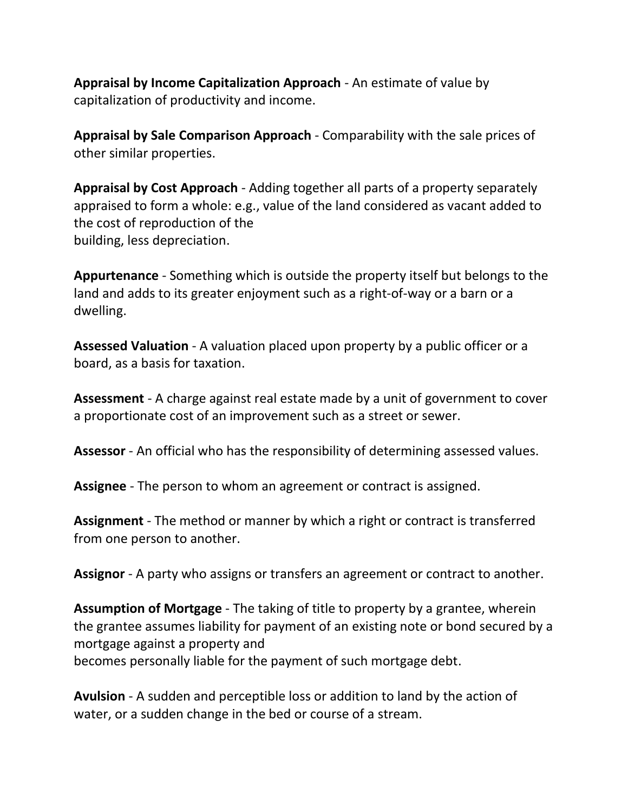**Appraisal by Income Capitalization Approach** - An estimate of value by capitalization of productivity and income.

**Appraisal by Sale Comparison Approach** - Comparability with the sale prices of other similar properties.

**Appraisal by Cost Approach** - Adding together all parts of a property separately appraised to form a whole: e.g., value of the land considered as vacant added to the cost of reproduction of the building, less depreciation.

**Appurtenance** - Something which is outside the property itself but belongs to the land and adds to its greater enjoyment such as a right-of-way or a barn or a dwelling.

**Assessed Valuation** - A valuation placed upon property by a public officer or a board, as a basis for taxation.

**Assessment** - A charge against real estate made by a unit of government to cover a proportionate cost of an improvement such as a street or sewer.

**Assessor** - An official who has the responsibility of determining assessed values.

**Assignee** - The person to whom an agreement or contract is assigned.

**Assignment** - The method or manner by which a right or contract is transferred from one person to another.

**Assignor** - A party who assigns or transfers an agreement or contract to another.

**Assumption of Mortgage** - The taking of title to property by a grantee, wherein the grantee assumes liability for payment of an existing note or bond secured by a mortgage against a property and becomes personally liable for the payment of such mortgage debt.

**Avulsion** - A sudden and perceptible loss or addition to land by the action of water, or a sudden change in the bed or course of a stream.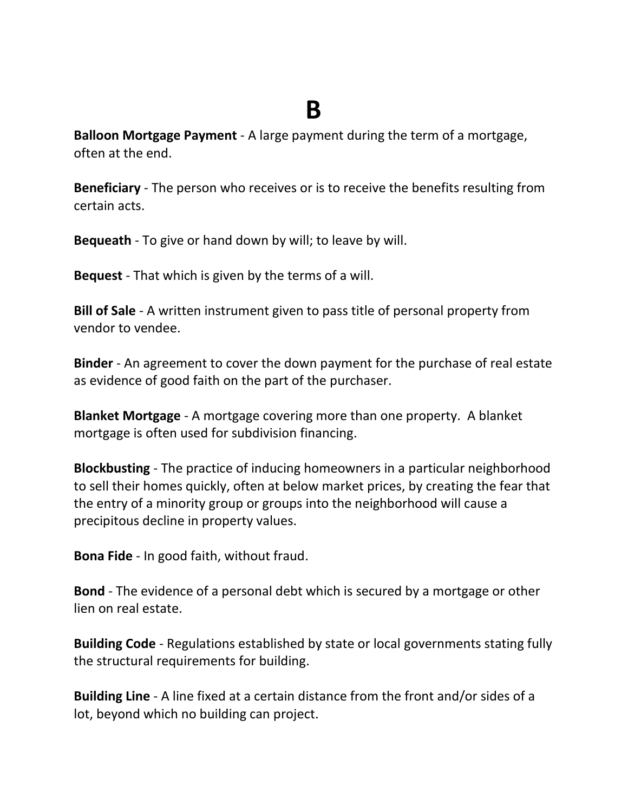**Balloon Mortgage Payment** - A large payment during the term of a mortgage, often at the end.

**Beneficiary** - The person who receives or is to receive the benefits resulting from certain acts.

**Bequeath** - To give or hand down by will; to leave by will.

**Bequest** - That which is given by the terms of a will.

**Bill of Sale** - A written instrument given to pass title of personal property from vendor to vendee.

**Binder** - An agreement to cover the down payment for the purchase of real estate as evidence of good faith on the part of the purchaser.

**Blanket Mortgage** - A mortgage covering more than one property. A blanket mortgage is often used for subdivision financing.

**Blockbusting** - The practice of inducing homeowners in a particular neighborhood to sell their homes quickly, often at below market prices, by creating the fear that the entry of a minority group or groups into the neighborhood will cause a precipitous decline in property values.

**Bona Fide** - In good faith, without fraud.

**Bond** - The evidence of a personal debt which is secured by a mortgage or other lien on real estate.

**Building Code** - Regulations established by state or local governments stating fully the structural requirements for building.

**Building Line** - A line fixed at a certain distance from the front and/or sides of a lot, beyond which no building can project.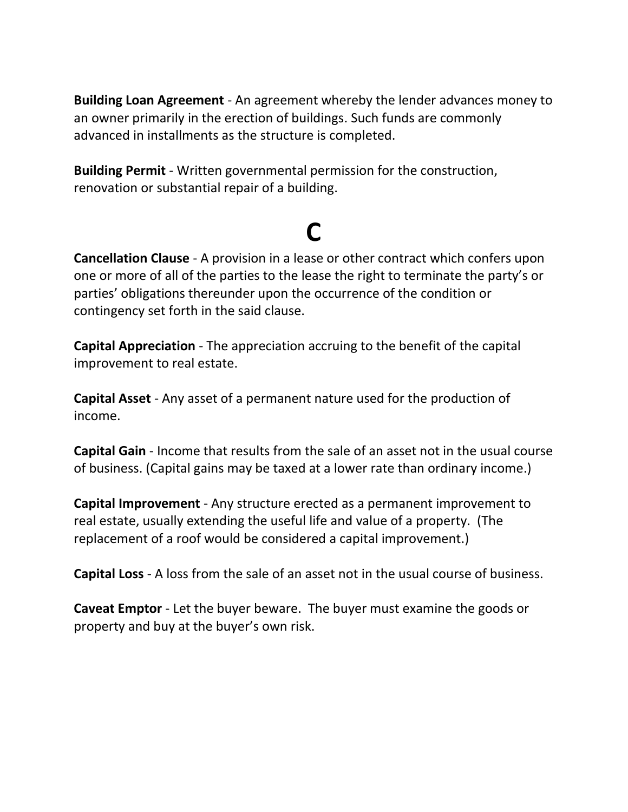**Building Loan Agreement** - An agreement whereby the lender advances money to an owner primarily in the erection of buildings. Such funds are commonly advanced in installments as the structure is completed.

**Building Permit** - Written governmental permission for the construction, renovation or substantial repair of a building.

# **C**

**Cancellation Clause** - A provision in a lease or other contract which confers upon one or more of all of the parties to the lease the right to terminate the party's or parties' obligations thereunder upon the occurrence of the condition or contingency set forth in the said clause.

**Capital Appreciation** - The appreciation accruing to the benefit of the capital improvement to real estate.

**Capital Asset** - Any asset of a permanent nature used for the production of income.

**Capital Gain** - Income that results from the sale of an asset not in the usual course of business. (Capital gains may be taxed at a lower rate than ordinary income.)

**Capital Improvement** - Any structure erected as a permanent improvement to real estate, usually extending the useful life and value of a property. (The replacement of a roof would be considered a capital improvement.)

**Capital Loss** - A loss from the sale of an asset not in the usual course of business.

**Caveat Emptor** - Let the buyer beware. The buyer must examine the goods or property and buy at the buyer's own risk.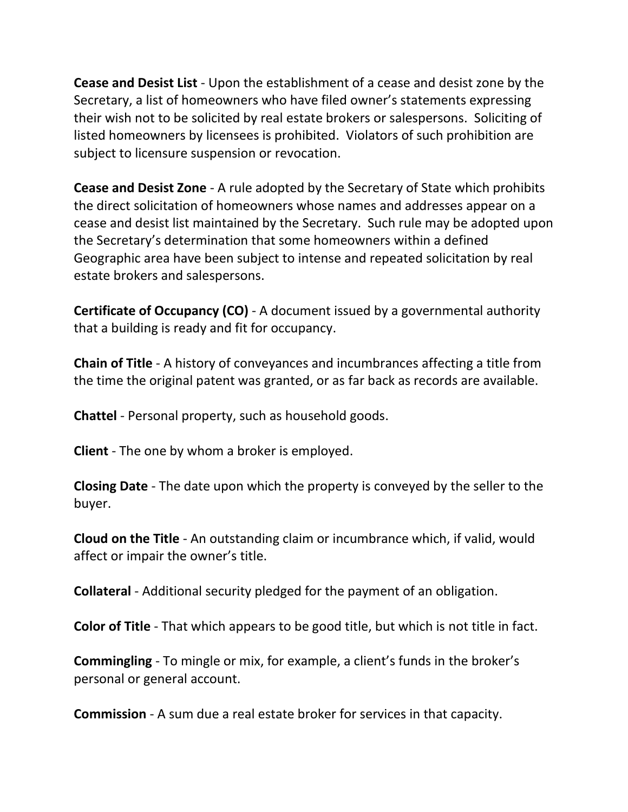**Cease and Desist List** - Upon the establishment of a cease and desist zone by the Secretary, a list of homeowners who have filed owner's statements expressing their wish not to be solicited by real estate brokers or salespersons. Soliciting of listed homeowners by licensees is prohibited. Violators of such prohibition are subject to licensure suspension or revocation.

**Cease and Desist Zone** - A rule adopted by the Secretary of State which prohibits the direct solicitation of homeowners whose names and addresses appear on a cease and desist list maintained by the Secretary. Such rule may be adopted upon the Secretary's determination that some homeowners within a defined Geographic area have been subject to intense and repeated solicitation by real estate brokers and salespersons.

**Certificate of Occupancy (CO)** - A document issued by a governmental authority that a building is ready and fit for occupancy.

**Chain of Title** - A history of conveyances and incumbrances affecting a title from the time the original patent was granted, or as far back as records are available.

**Chattel** - Personal property, such as household goods.

**Client** - The one by whom a broker is employed.

**Closing Date** - The date upon which the property is conveyed by the seller to the buyer.

**Cloud on the Title** - An outstanding claim or incumbrance which, if valid, would affect or impair the owner's title.

**Collateral** - Additional security pledged for the payment of an obligation.

**Color of Title** - That which appears to be good title, but which is not title in fact.

**Commingling** - To mingle or mix, for example, a client's funds in the broker's personal or general account.

**Commission** - A sum due a real estate broker for services in that capacity.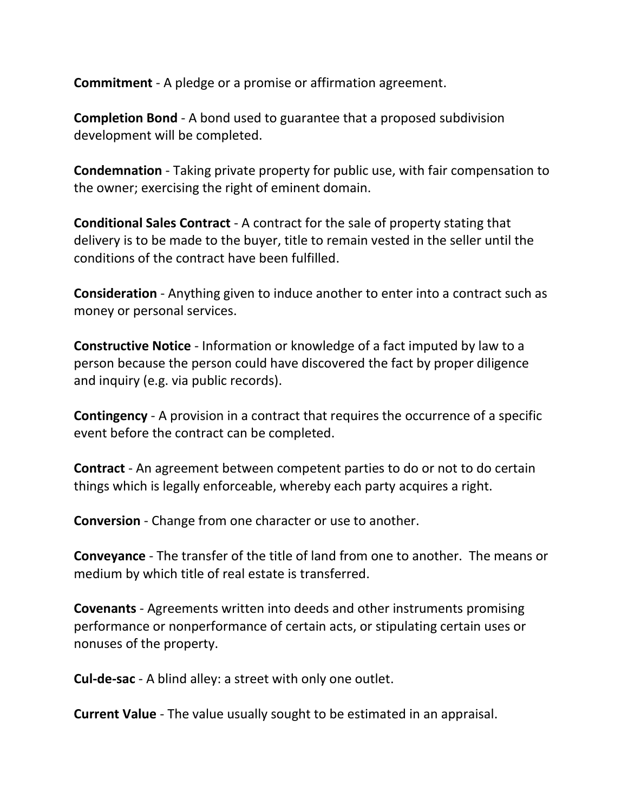**Commitment** - A pledge or a promise or affirmation agreement.

**Completion Bond** - A bond used to guarantee that a proposed subdivision development will be completed.

**Condemnation** - Taking private property for public use, with fair compensation to the owner; exercising the right of eminent domain.

**Conditional Sales Contract** - A contract for the sale of property stating that delivery is to be made to the buyer, title to remain vested in the seller until the conditions of the contract have been fulfilled.

**Consideration** - Anything given to induce another to enter into a contract such as money or personal services.

**Constructive Notice** - Information or knowledge of a fact imputed by law to a person because the person could have discovered the fact by proper diligence and inquiry (e.g. via public records).

**Contingency** - A provision in a contract that requires the occurrence of a specific event before the contract can be completed.

**Contract** - An agreement between competent parties to do or not to do certain things which is legally enforceable, whereby each party acquires a right.

**Conversion** - Change from one character or use to another.

**Conveyance** - The transfer of the title of land from one to another. The means or medium by which title of real estate is transferred.

**Covenants** - Agreements written into deeds and other instruments promising performance or nonperformance of certain acts, or stipulating certain uses or nonuses of the property.

**Cul-de-sac** - A blind alley: a street with only one outlet.

**Current Value** - The value usually sought to be estimated in an appraisal.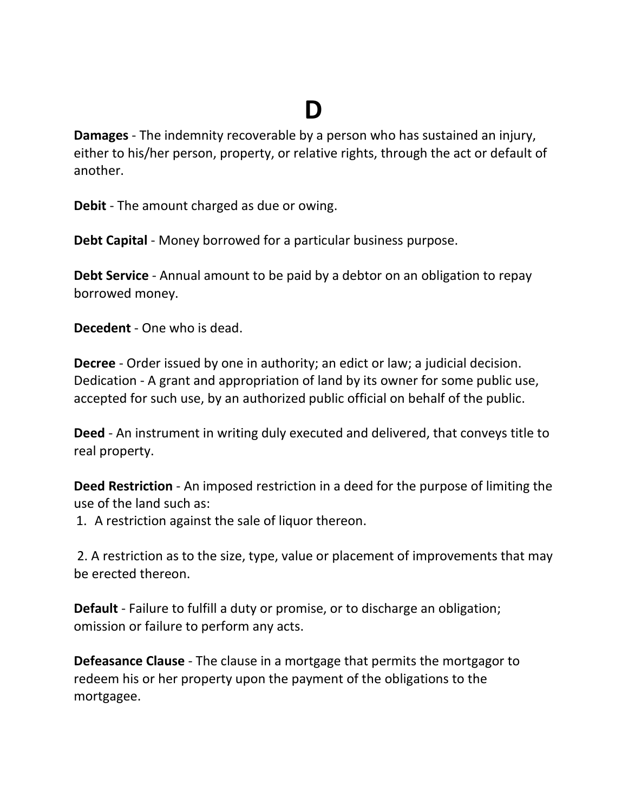# **D**

**Damages** - The indemnity recoverable by a person who has sustained an injury, either to his/her person, property, or relative rights, through the act or default of another.

**Debit** - The amount charged as due or owing.

**Debt Capital** - Money borrowed for a particular business purpose.

**Debt Service** - Annual amount to be paid by a debtor on an obligation to repay borrowed money.

**Decedent** - One who is dead.

**Decree** - Order issued by one in authority; an edict or law; a judicial decision. Dedication - A grant and appropriation of land by its owner for some public use, accepted for such use, by an authorized public official on behalf of the public.

**Deed** - An instrument in writing duly executed and delivered, that conveys title to real property.

**Deed Restriction** - An imposed restriction in a deed for the purpose of limiting the use of the land such as:

1. A restriction against the sale of liquor thereon.

2. A restriction as to the size, type, value or placement of improvements that may be erected thereon.

**Default** - Failure to fulfill a duty or promise, or to discharge an obligation; omission or failure to perform any acts.

**Defeasance Clause** - The clause in a mortgage that permits the mortgagor to redeem his or her property upon the payment of the obligations to the mortgagee.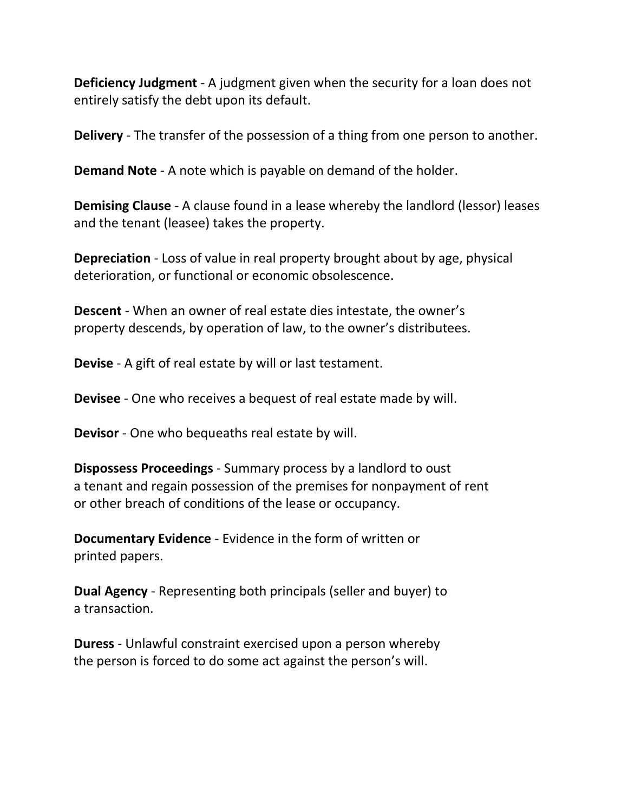**Deficiency Judgment** - A judgment given when the security for a loan does not entirely satisfy the debt upon its default.

**Delivery** - The transfer of the possession of a thing from one person to another.

**Demand Note** - A note which is payable on demand of the holder.

**Demising Clause** - A clause found in a lease whereby the landlord (lessor) leases and the tenant (leasee) takes the property.

**Depreciation** - Loss of value in real property brought about by age, physical deterioration, or functional or economic obsolescence.

**Descent** - When an owner of real estate dies intestate, the owner's property descends, by operation of law, to the owner's distributees.

**Devise** - A gift of real estate by will or last testament.

**Devisee** - One who receives a bequest of real estate made by will.

**Devisor** - One who bequeaths real estate by will.

**Dispossess Proceedings** - Summary process by a landlord to oust a tenant and regain possession of the premises for nonpayment of rent or other breach of conditions of the lease or occupancy.

**Documentary Evidence** - Evidence in the form of written or printed papers.

**Dual Agency** - Representing both principals (seller and buyer) to a transaction.

**Duress** - Unlawful constraint exercised upon a person whereby the person is forced to do some act against the person's will.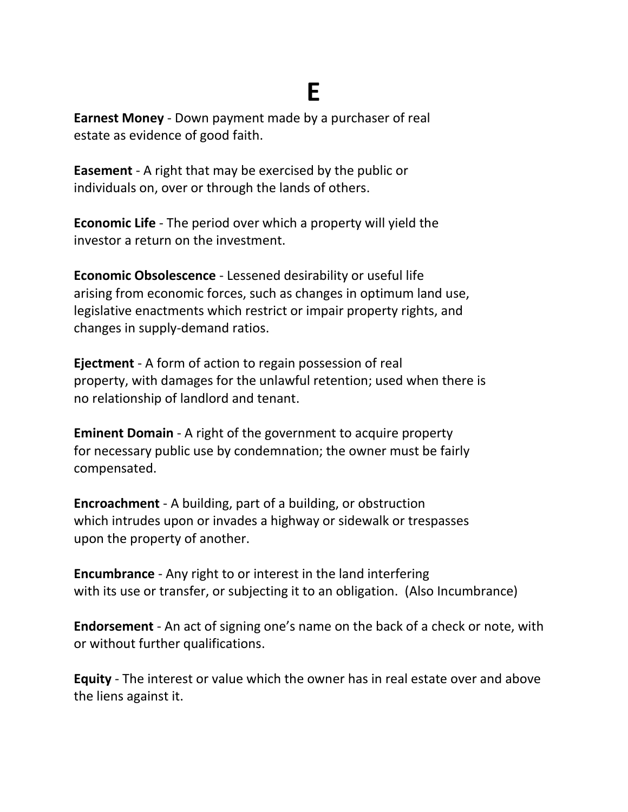### **E**

**Earnest Money** - Down payment made by a purchaser of real estate as evidence of good faith.

**Easement** - A right that may be exercised by the public or individuals on, over or through the lands of others.

**Economic Life** - The period over which a property will yield the investor a return on the investment.

**Economic Obsolescence** - Lessened desirability or useful life arising from economic forces, such as changes in optimum land use, legislative enactments which restrict or impair property rights, and changes in supply-demand ratios.

**Ejectment** - A form of action to regain possession of real property, with damages for the unlawful retention; used when there is no relationship of landlord and tenant.

**Eminent Domain** - A right of the government to acquire property for necessary public use by condemnation; the owner must be fairly compensated.

**Encroachment** - A building, part of a building, or obstruction which intrudes upon or invades a highway or sidewalk or trespasses upon the property of another.

**Encumbrance** - Any right to or interest in the land interfering with its use or transfer, or subjecting it to an obligation. (Also Incumbrance)

**Endorsement** - An act of signing one's name on the back of a check or note, with or without further qualifications.

**Equity** - The interest or value which the owner has in real estate over and above the liens against it.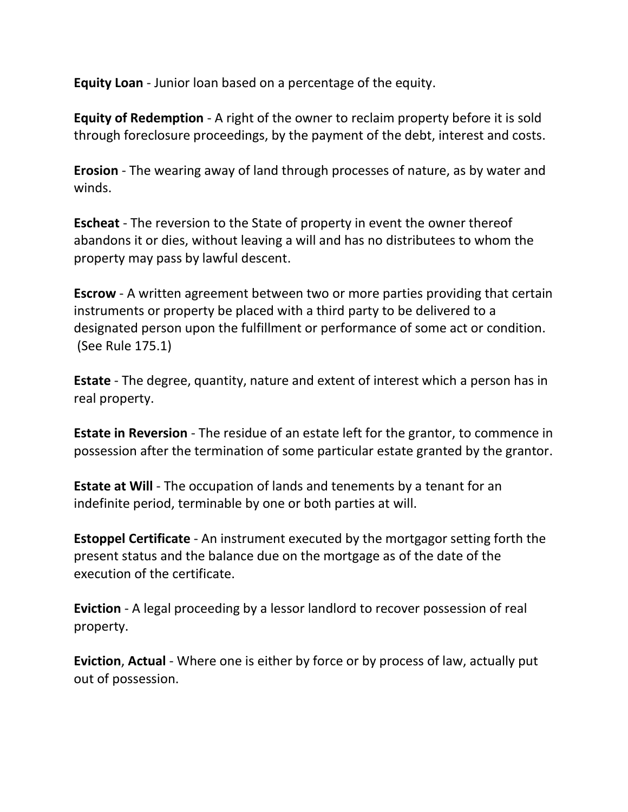**Equity Loan** - Junior loan based on a percentage of the equity.

**Equity of Redemption** - A right of the owner to reclaim property before it is sold through foreclosure proceedings, by the payment of the debt, interest and costs.

**Erosion** - The wearing away of land through processes of nature, as by water and winds.

**Escheat** - The reversion to the State of property in event the owner thereof abandons it or dies, without leaving a will and has no distributees to whom the property may pass by lawful descent.

**Escrow** - A written agreement between two or more parties providing that certain instruments or property be placed with a third party to be delivered to a designated person upon the fulfillment or performance of some act or condition. (See Rule 175.1)

**Estate** - The degree, quantity, nature and extent of interest which a person has in real property.

**Estate in Reversion** - The residue of an estate left for the grantor, to commence in possession after the termination of some particular estate granted by the grantor.

**Estate at Will** - The occupation of lands and tenements by a tenant for an indefinite period, terminable by one or both parties at will.

**Estoppel Certificate** - An instrument executed by the mortgagor setting forth the present status and the balance due on the mortgage as of the date of the execution of the certificate.

**Eviction** - A legal proceeding by a lessor landlord to recover possession of real property.

**Eviction**, **Actual** - Where one is either by force or by process of law, actually put out of possession.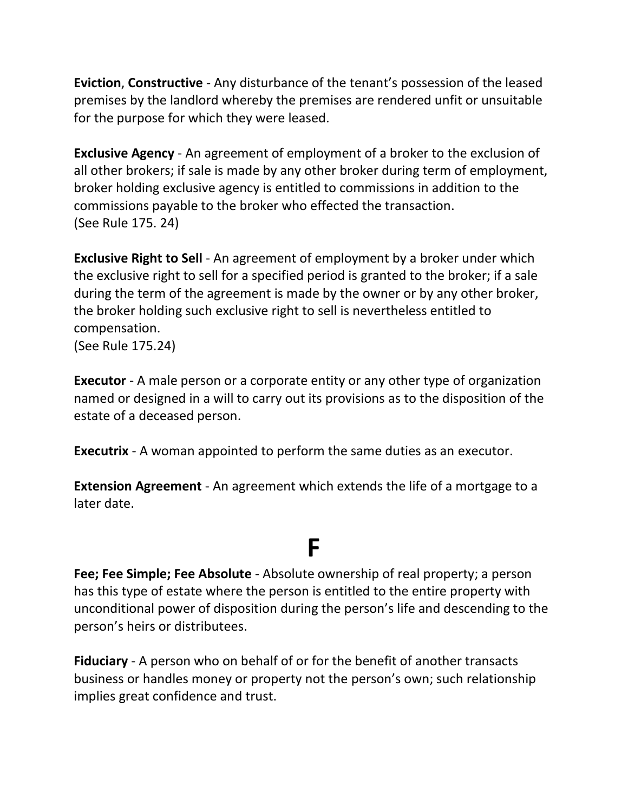**Eviction**, **Constructive** - Any disturbance of the tenant's possession of the leased premises by the landlord whereby the premises are rendered unfit or unsuitable for the purpose for which they were leased.

**Exclusive Agency** - An agreement of employment of a broker to the exclusion of all other brokers; if sale is made by any other broker during term of employment, broker holding exclusive agency is entitled to commissions in addition to the commissions payable to the broker who effected the transaction. (See Rule 175. 24)

**Exclusive Right to Sell** - An agreement of employment by a broker under which the exclusive right to sell for a specified period is granted to the broker; if a sale during the term of the agreement is made by the owner or by any other broker, the broker holding such exclusive right to sell is nevertheless entitled to compensation.

(See Rule 175.24)

**Executor** - A male person or a corporate entity or any other type of organization named or designed in a will to carry out its provisions as to the disposition of the estate of a deceased person.

**Executrix** - A woman appointed to perform the same duties as an executor.

**Extension Agreement** - An agreement which extends the life of a mortgage to a later date.

#### **F**

**Fee; Fee Simple; Fee Absolute** - Absolute ownership of real property; a person has this type of estate where the person is entitled to the entire property with unconditional power of disposition during the person's life and descending to the person's heirs or distributees.

**Fiduciary** - A person who on behalf of or for the benefit of another transacts business or handles money or property not the person's own; such relationship implies great confidence and trust.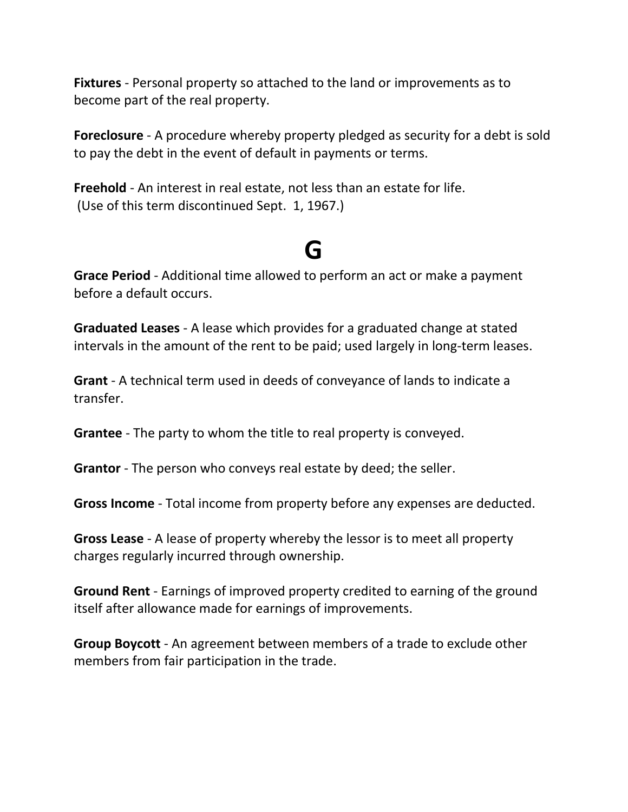**Fixtures** - Personal property so attached to the land or improvements as to become part of the real property.

**Foreclosure** - A procedure whereby property pledged as security for a debt is sold to pay the debt in the event of default in payments or terms.

**Freehold** - An interest in real estate, not less than an estate for life. (Use of this term discontinued Sept. 1, 1967.)

# **G**

**Grace Period** - Additional time allowed to perform an act or make a payment before a default occurs.

**Graduated Leases** - A lease which provides for a graduated change at stated intervals in the amount of the rent to be paid; used largely in long-term leases.

**Grant** - A technical term used in deeds of conveyance of lands to indicate a transfer.

**Grantee** - The party to whom the title to real property is conveyed.

**Grantor** - The person who conveys real estate by deed; the seller.

**Gross Income** - Total income from property before any expenses are deducted.

**Gross Lease** - A lease of property whereby the lessor is to meet all property charges regularly incurred through ownership.

**Ground Rent** - Earnings of improved property credited to earning of the ground itself after allowance made for earnings of improvements.

**Group Boycott** - An agreement between members of a trade to exclude other members from fair participation in the trade.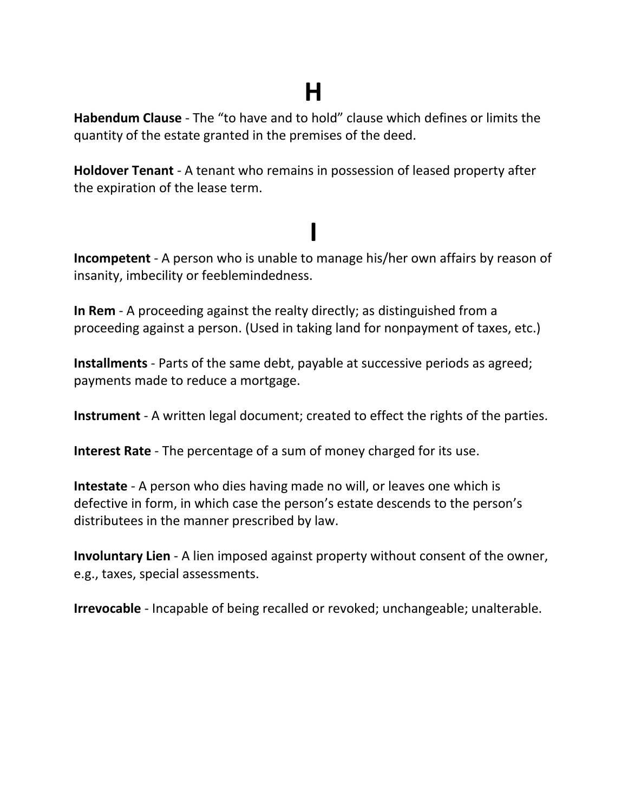#### **H**

**Habendum Clause** - The "to have and to hold" clause which defines or limits the quantity of the estate granted in the premises of the deed.

**Holdover Tenant** - A tenant who remains in possession of leased property after the expiration of the lease term.

# **I**

**Incompetent** - A person who is unable to manage his/her own affairs by reason of insanity, imbecility or feeblemindedness.

**In Rem** - A proceeding against the realty directly; as distinguished from a proceeding against a person. (Used in taking land for nonpayment of taxes, etc.)

**Installments** - Parts of the same debt, payable at successive periods as agreed; payments made to reduce a mortgage.

**Instrument** - A written legal document; created to effect the rights of the parties.

**Interest Rate** - The percentage of a sum of money charged for its use.

**Intestate** - A person who dies having made no will, or leaves one which is defective in form, in which case the person's estate descends to the person's distributees in the manner prescribed by law.

**Involuntary Lien** - A lien imposed against property without consent of the owner, e.g., taxes, special assessments.

**Irrevocable** - Incapable of being recalled or revoked; unchangeable; unalterable.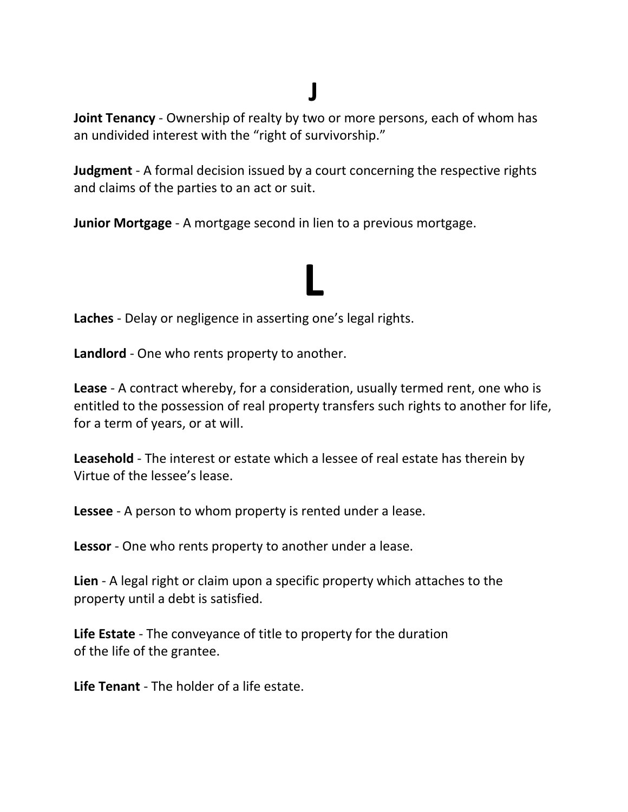#### **J**

**Joint Tenancy** - Ownership of realty by two or more persons, each of whom has an undivided interest with the "right of survivorship."

**Judgment** - A formal decision issued by a court concerning the respective rights and claims of the parties to an act or suit.

**Junior Mortgage** - A mortgage second in lien to a previous mortgage.

#### **Laches** - Delay or negligence in asserting one's legal rights.

**Landlord** - One who rents property to another.

**Lease** - A contract whereby, for a consideration, usually termed rent, one who is entitled to the possession of real property transfers such rights to another for life, for a term of years, or at will.

**L**

**Leasehold** - The interest or estate which a lessee of real estate has therein by Virtue of the lessee's lease.

**Lessee** - A person to whom property is rented under a lease.

**Lessor** - One who rents property to another under a lease.

**Lien** - A legal right or claim upon a specific property which attaches to the property until a debt is satisfied.

**Life Estate** - The conveyance of title to property for the duration of the life of the grantee.

**Life Tenant** - The holder of a life estate.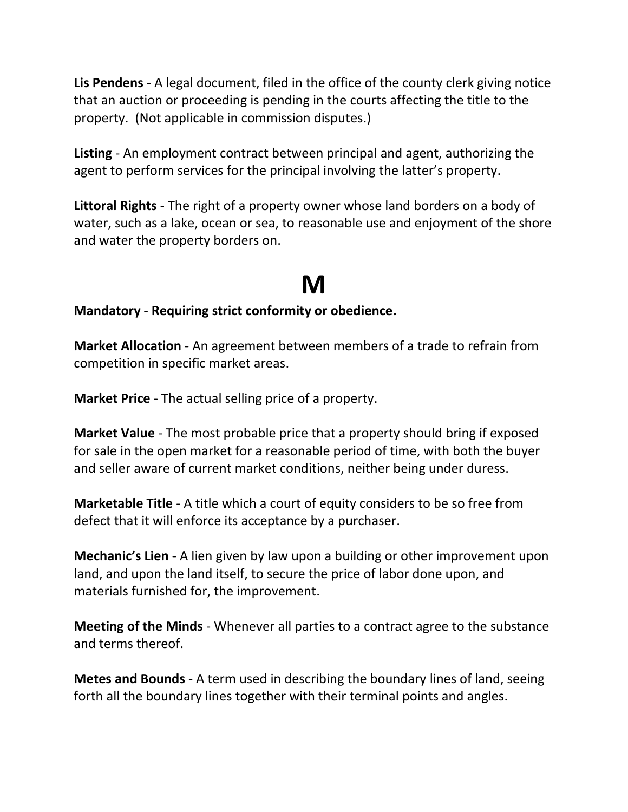**Lis Pendens** - A legal document, filed in the office of the county clerk giving notice that an auction or proceeding is pending in the courts affecting the title to the property. (Not applicable in commission disputes.)

**Listing** - An employment contract between principal and agent, authorizing the agent to perform services for the principal involving the latter's property.

**Littoral Rights** - The right of a property owner whose land borders on a body of water, such as a lake, ocean or sea, to reasonable use and enjoyment of the shore and water the property borders on.

# **M**

**Mandatory - Requiring strict conformity or obedience.**

**Market Allocation** - An agreement between members of a trade to refrain from competition in specific market areas.

**Market Price** - The actual selling price of a property.

**Market Value** - The most probable price that a property should bring if exposed for sale in the open market for a reasonable period of time, with both the buyer and seller aware of current market conditions, neither being under duress.

**Marketable Title** - A title which a court of equity considers to be so free from defect that it will enforce its acceptance by a purchaser.

**Mechanic's Lien** - A lien given by law upon a building or other improvement upon land, and upon the land itself, to secure the price of labor done upon, and materials furnished for, the improvement.

**Meeting of the Minds** - Whenever all parties to a contract agree to the substance and terms thereof.

**Metes and Bounds** - A term used in describing the boundary lines of land, seeing forth all the boundary lines together with their terminal points and angles.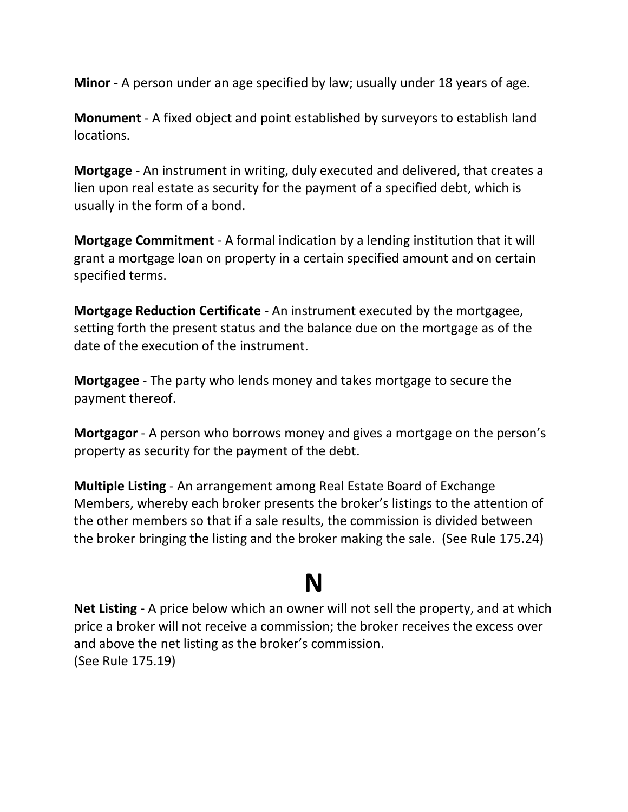**Minor** - A person under an age specified by law; usually under 18 years of age.

**Monument** - A fixed object and point established by surveyors to establish land locations.

**Mortgage** - An instrument in writing, duly executed and delivered, that creates a lien upon real estate as security for the payment of a specified debt, which is usually in the form of a bond.

**Mortgage Commitment** - A formal indication by a lending institution that it will grant a mortgage loan on property in a certain specified amount and on certain specified terms.

**Mortgage Reduction Certificate** - An instrument executed by the mortgagee, setting forth the present status and the balance due on the mortgage as of the date of the execution of the instrument.

**Mortgagee** - The party who lends money and takes mortgage to secure the payment thereof.

**Mortgagor** - A person who borrows money and gives a mortgage on the person's property as security for the payment of the debt.

**Multiple Listing** - An arrangement among Real Estate Board of Exchange Members, whereby each broker presents the broker's listings to the attention of the other members so that if a sale results, the commission is divided between the broker bringing the listing and the broker making the sale. (See Rule 175.24)

# **N**

**Net Listing** - A price below which an owner will not sell the property, and at which price a broker will not receive a commission; the broker receives the excess over and above the net listing as the broker's commission. (See Rule 175.19)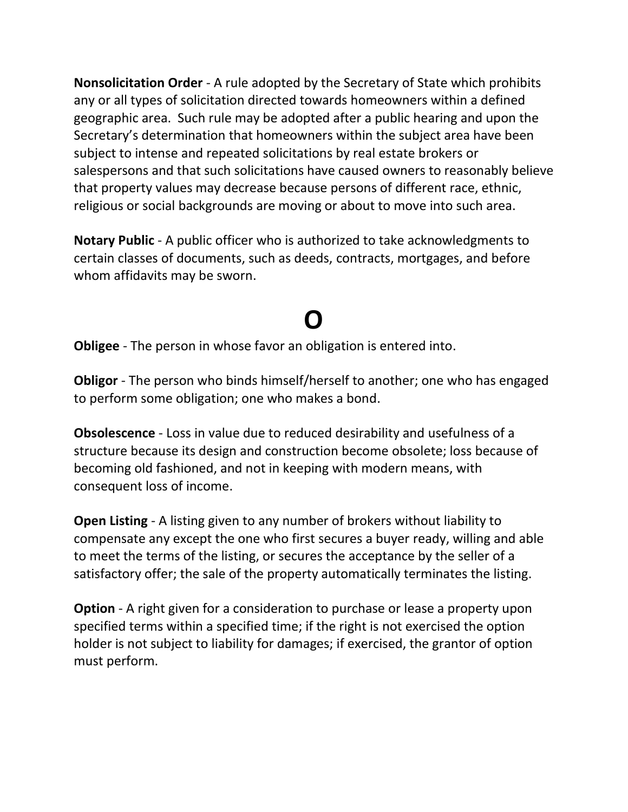**Nonsolicitation Order** - A rule adopted by the Secretary of State which prohibits any or all types of solicitation directed towards homeowners within a defined geographic area. Such rule may be adopted after a public hearing and upon the Secretary's determination that homeowners within the subject area have been subject to intense and repeated solicitations by real estate brokers or salespersons and that such solicitations have caused owners to reasonably believe that property values may decrease because persons of different race, ethnic, religious or social backgrounds are moving or about to move into such area.

**Notary Public** - A public officer who is authorized to take acknowledgments to certain classes of documents, such as deeds, contracts, mortgages, and before whom affidavits may be sworn.

# **O**

**Obligee** - The person in whose favor an obligation is entered into.

**Obligor** - The person who binds himself/herself to another; one who has engaged to perform some obligation; one who makes a bond.

**Obsolescence** - Loss in value due to reduced desirability and usefulness of a structure because its design and construction become obsolete; loss because of becoming old fashioned, and not in keeping with modern means, with consequent loss of income.

**Open Listing** - A listing given to any number of brokers without liability to compensate any except the one who first secures a buyer ready, willing and able to meet the terms of the listing, or secures the acceptance by the seller of a satisfactory offer; the sale of the property automatically terminates the listing.

**Option** - A right given for a consideration to purchase or lease a property upon specified terms within a specified time; if the right is not exercised the option holder is not subject to liability for damages; if exercised, the grantor of option must perform.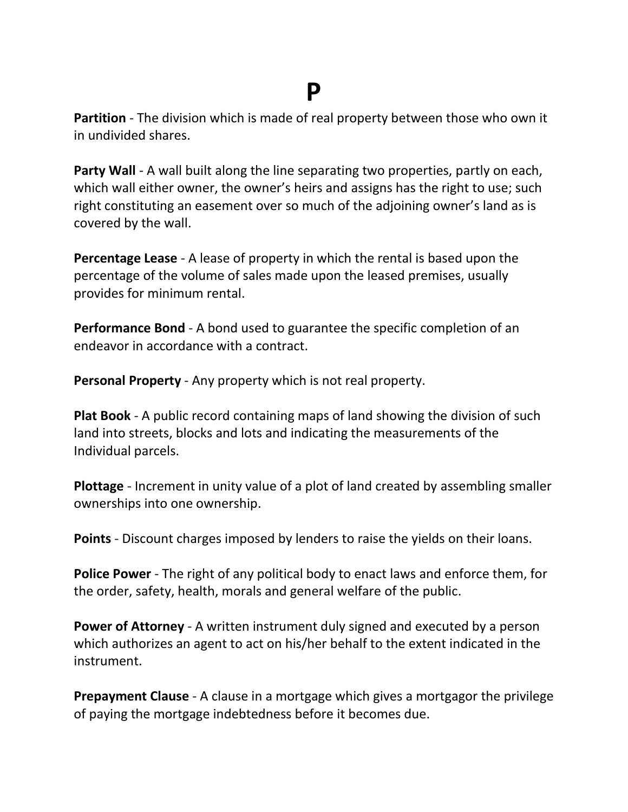#### **P**

**Partition** - The division which is made of real property between those who own it in undivided shares.

**Party Wall** - A wall built along the line separating two properties, partly on each, which wall either owner, the owner's heirs and assigns has the right to use; such right constituting an easement over so much of the adjoining owner's land as is covered by the wall.

**Percentage Lease** - A lease of property in which the rental is based upon the percentage of the volume of sales made upon the leased premises, usually provides for minimum rental.

**Performance Bond** - A bond used to guarantee the specific completion of an endeavor in accordance with a contract.

**Personal Property** - Any property which is not real property.

**Plat Book** - A public record containing maps of land showing the division of such land into streets, blocks and lots and indicating the measurements of the Individual parcels.

**Plottage** - Increment in unity value of a plot of land created by assembling smaller ownerships into one ownership.

**Points** - Discount charges imposed by lenders to raise the yields on their loans.

**Police Power** - The right of any political body to enact laws and enforce them, for the order, safety, health, morals and general welfare of the public.

**Power of Attorney** - A written instrument duly signed and executed by a person which authorizes an agent to act on his/her behalf to the extent indicated in the instrument.

**Prepayment Clause** - A clause in a mortgage which gives a mortgagor the privilege of paying the mortgage indebtedness before it becomes due.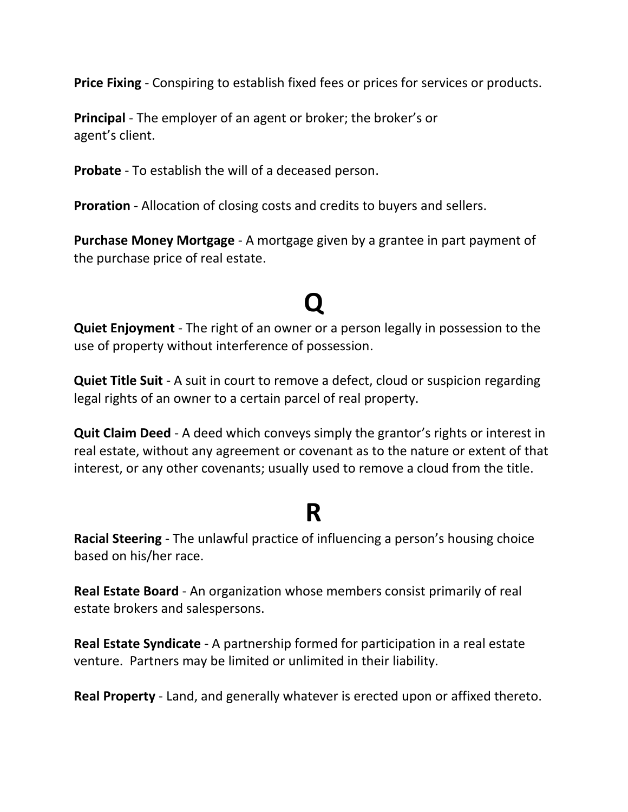**Price Fixing** - Conspiring to establish fixed fees or prices for services or products.

**Principal** - The employer of an agent or broker; the broker's or agent's client.

**Probate** - To establish the will of a deceased person.

**Proration** - Allocation of closing costs and credits to buyers and sellers.

**Purchase Money Mortgage** - A mortgage given by a grantee in part payment of the purchase price of real estate.

# **Q**

**Quiet Enjoyment** - The right of an owner or a person legally in possession to the use of property without interference of possession.

**Quiet Title Suit** - A suit in court to remove a defect, cloud or suspicion regarding legal rights of an owner to a certain parcel of real property.

**Quit Claim Deed** - A deed which conveys simply the grantor's rights or interest in real estate, without any agreement or covenant as to the nature or extent of that interest, or any other covenants; usually used to remove a cloud from the title.

# **R**

**Racial Steering** - The unlawful practice of influencing a person's housing choice based on his/her race.

**Real Estate Board** - An organization whose members consist primarily of real estate brokers and salespersons.

**Real Estate Syndicate** - A partnership formed for participation in a real estate venture. Partners may be limited or unlimited in their liability.

**Real Property** - Land, and generally whatever is erected upon or affixed thereto.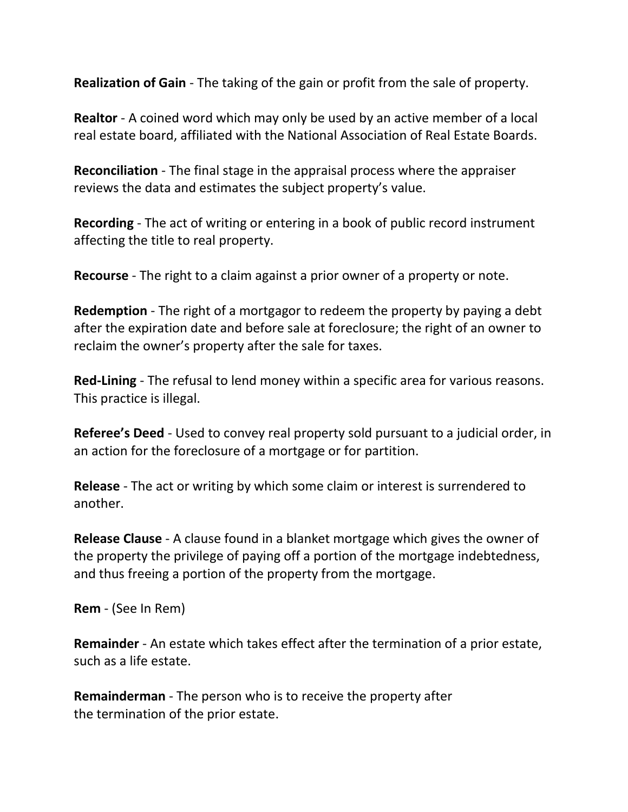**Realization of Gain** - The taking of the gain or profit from the sale of property.

**Realtor** - A coined word which may only be used by an active member of a local real estate board, affiliated with the National Association of Real Estate Boards.

**Reconciliation** - The final stage in the appraisal process where the appraiser reviews the data and estimates the subject property's value.

**Recording** - The act of writing or entering in a book of public record instrument affecting the title to real property.

**Recourse** - The right to a claim against a prior owner of a property or note.

**Redemption** - The right of a mortgagor to redeem the property by paying a debt after the expiration date and before sale at foreclosure; the right of an owner to reclaim the owner's property after the sale for taxes.

**Red-Lining** - The refusal to lend money within a specific area for various reasons. This practice is illegal.

**Referee's Deed** - Used to convey real property sold pursuant to a judicial order, in an action for the foreclosure of a mortgage or for partition.

**Release** - The act or writing by which some claim or interest is surrendered to another.

**Release Clause** - A clause found in a blanket mortgage which gives the owner of the property the privilege of paying off a portion of the mortgage indebtedness, and thus freeing a portion of the property from the mortgage.

**Rem** - (See In Rem)

**Remainder** - An estate which takes effect after the termination of a prior estate, such as a life estate.

**Remainderman** - The person who is to receive the property after the termination of the prior estate.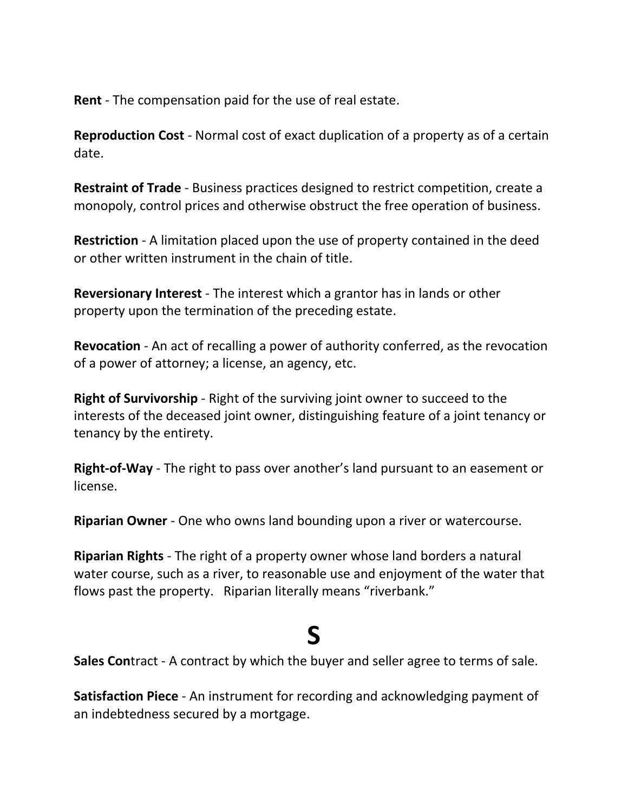**Rent** - The compensation paid for the use of real estate.

**Reproduction Cost** - Normal cost of exact duplication of a property as of a certain date.

**Restraint of Trade** - Business practices designed to restrict competition, create a monopoly, control prices and otherwise obstruct the free operation of business.

**Restriction** - A limitation placed upon the use of property contained in the deed or other written instrument in the chain of title.

**Reversionary Interest** - The interest which a grantor has in lands or other property upon the termination of the preceding estate.

**Revocation** - An act of recalling a power of authority conferred, as the revocation of a power of attorney; a license, an agency, etc.

**Right of Survivorship** - Right of the surviving joint owner to succeed to the interests of the deceased joint owner, distinguishing feature of a joint tenancy or tenancy by the entirety.

**Right-of-Way** - The right to pass over another's land pursuant to an easement or license.

**Riparian Owner** - One who owns land bounding upon a river or watercourse.

**Riparian Rights** - The right of a property owner whose land borders a natural water course, such as a river, to reasonable use and enjoyment of the water that flows past the property. Riparian literally means "riverbank."

# **S**

**Sales Con**tract - A contract by which the buyer and seller agree to terms of sale.

**Satisfaction Piece** - An instrument for recording and acknowledging payment of an indebtedness secured by a mortgage.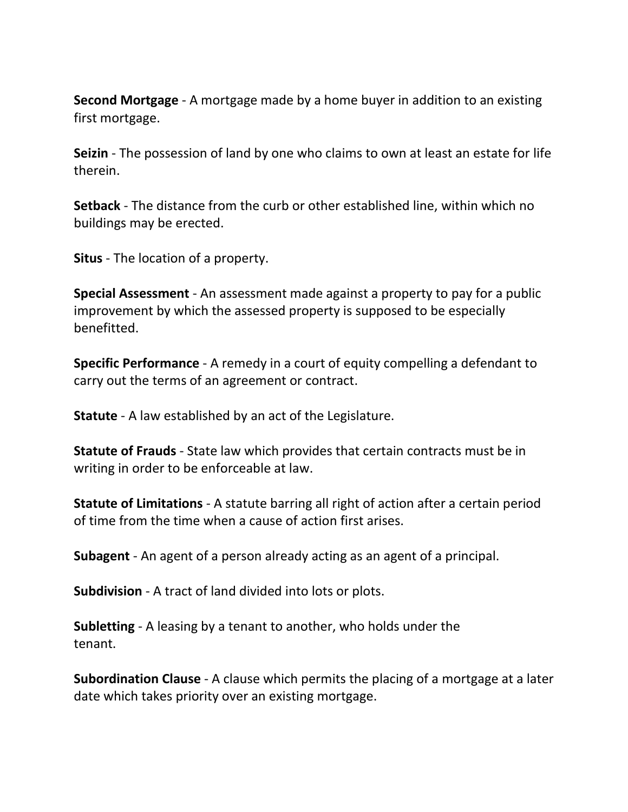**Second Mortgage** - A mortgage made by a home buyer in addition to an existing first mortgage.

**Seizin** - The possession of land by one who claims to own at least an estate for life therein.

**Setback** - The distance from the curb or other established line, within which no buildings may be erected.

**Situs** - The location of a property.

**Special Assessment** - An assessment made against a property to pay for a public improvement by which the assessed property is supposed to be especially benefitted.

**Specific Performance** - A remedy in a court of equity compelling a defendant to carry out the terms of an agreement or contract.

**Statute** - A law established by an act of the Legislature.

**Statute of Frauds** - State law which provides that certain contracts must be in writing in order to be enforceable at law.

**Statute of Limitations** - A statute barring all right of action after a certain period of time from the time when a cause of action first arises.

**Subagent** - An agent of a person already acting as an agent of a principal.

**Subdivision** - A tract of land divided into lots or plots.

**Subletting** - A leasing by a tenant to another, who holds under the tenant.

**Subordination Clause** - A clause which permits the placing of a mortgage at a later date which takes priority over an existing mortgage.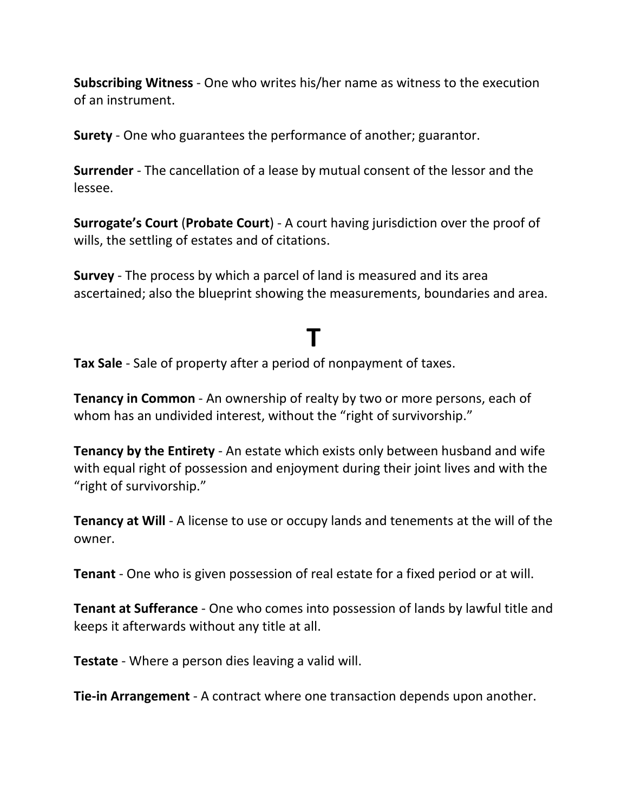**Subscribing Witness** - One who writes his/her name as witness to the execution of an instrument.

**Surety** - One who guarantees the performance of another; guarantor.

**Surrender** - The cancellation of a lease by mutual consent of the lessor and the lessee.

**Surrogate's Court** (**Probate Court**) - A court having jurisdiction over the proof of wills, the settling of estates and of citations.

**Survey** - The process by which a parcel of land is measured and its area ascertained; also the blueprint showing the measurements, boundaries and area.

#### **T**

**Tax Sale** - Sale of property after a period of nonpayment of taxes.

**Tenancy in Common** - An ownership of realty by two or more persons, each of whom has an undivided interest, without the "right of survivorship."

**Tenancy by the Entirety** - An estate which exists only between husband and wife with equal right of possession and enjoyment during their joint lives and with the "right of survivorship."

**Tenancy at Will** - A license to use or occupy lands and tenements at the will of the owner.

**Tenant** - One who is given possession of real estate for a fixed period or at will.

**Tenant at Sufferance** - One who comes into possession of lands by lawful title and keeps it afterwards without any title at all.

**Testate** - Where a person dies leaving a valid will.

**Tie-in Arrangement** - A contract where one transaction depends upon another.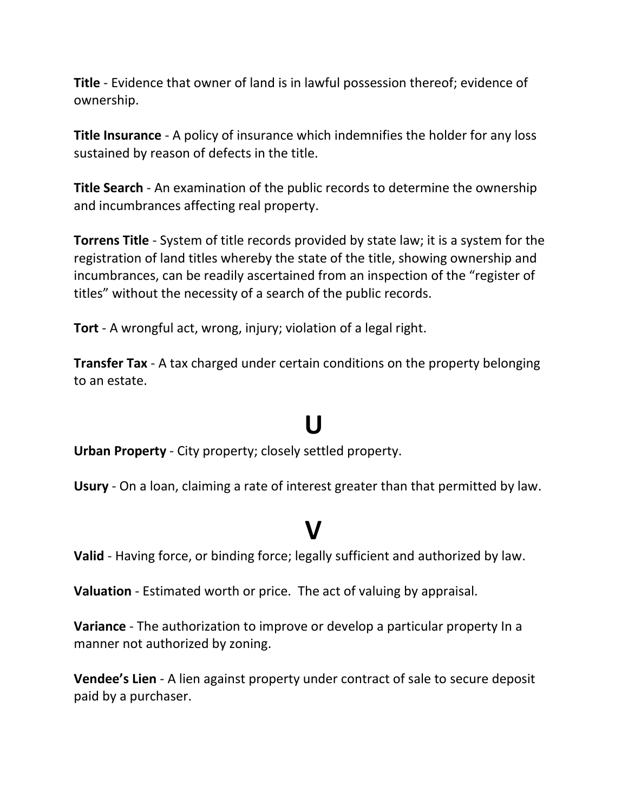**Title** - Evidence that owner of land is in lawful possession thereof; evidence of ownership.

**Title Insurance** - A policy of insurance which indemnifies the holder for any loss sustained by reason of defects in the title.

**Title Search** - An examination of the public records to determine the ownership and incumbrances affecting real property.

**Torrens Title** - System of title records provided by state law; it is a system for the registration of land titles whereby the state of the title, showing ownership and incumbrances, can be readily ascertained from an inspection of the "register of titles" without the necessity of a search of the public records.

**Tort** - A wrongful act, wrong, injury; violation of a legal right.

**Transfer Tax** - A tax charged under certain conditions on the property belonging to an estate.

# **U**

**Urban Property** - City property; closely settled property.

**Usury** - On a loan, claiming a rate of interest greater than that permitted by law.

#### **V**

**Valid** - Having force, or binding force; legally sufficient and authorized by law.

**Valuation** - Estimated worth or price. The act of valuing by appraisal.

**Variance** - The authorization to improve or develop a particular property In a manner not authorized by zoning.

**Vendee's Lien** - A lien against property under contract of sale to secure deposit paid by a purchaser.